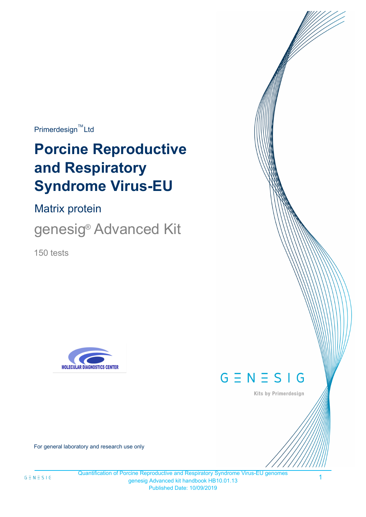$Primerdesign^{\text{TM}}$ Ltd

# **Porcine Reproductive and Respiratory Syndrome Virus-EU**

Matrix protein

genesig<sup>®</sup> Advanced Kit

150 tests





Kits by Primerdesign

For general laboratory and research use only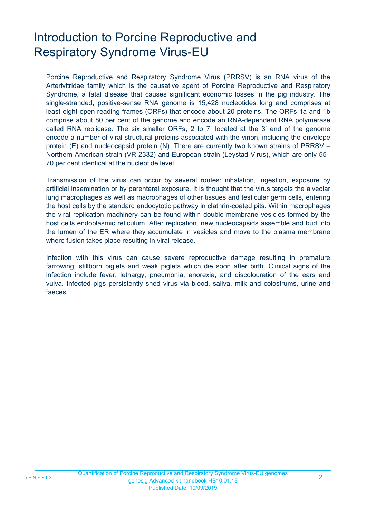# Introduction to Porcine Reproductive and Respiratory Syndrome Virus-EU

Porcine Reproductive and Respiratory Syndrome Virus (PRRSV) is an RNA virus of the Arterivitridae family which is the causative agent of Porcine Reproductive and Respiratory Syndrome, a fatal disease that causes significant economic losses in the pig industry. The single-stranded, positive-sense RNA genome is 15,428 nucleotides long and comprises at least eight open reading frames (ORFs) that encode about 20 proteins. The ORFs 1a and 1b comprise about 80 per cent of the genome and encode an RNA-dependent RNA polymerase called RNA replicase. The six smaller ORFs, 2 to 7, located at the 3' end of the genome encode a number of viral structural proteins associated with the virion, including the envelope protein (E) and nucleocapsid protein (N). There are currently two known strains of PRRSV – Northern American strain (VR-2332) and European strain (Leystad Virus), which are only 55– 70 per cent identical at the nucleotide level.

Transmission of the virus can occur by several routes: inhalation, ingestion, exposure by artificial insemination or by parenteral exposure. It is thought that the virus targets the alveolar lung macrophages as well as macrophages of other tissues and testicular germ cells, entering the host cells by the standard endocytotic pathway in clathrin-coated pits. Within macrophages the viral replication machinery can be found within double-membrane vesicles formed by the host cells endoplasmic reticulum. After replication, new nucleocapsids assemble and bud into the lumen of the ER where they accumulate in vesicles and move to the plasma membrane where fusion takes place resulting in viral release.

Infection with this virus can cause severe reproductive damage resulting in premature farrowing, stillborn piglets and weak piglets which die soon after birth. Clinical signs of the infection include fever, lethargy, pneumonia, anorexia, and discolouration of the ears and vulva. Infected pigs persistently shed virus via blood, saliva, milk and colostrums, urine and faeces.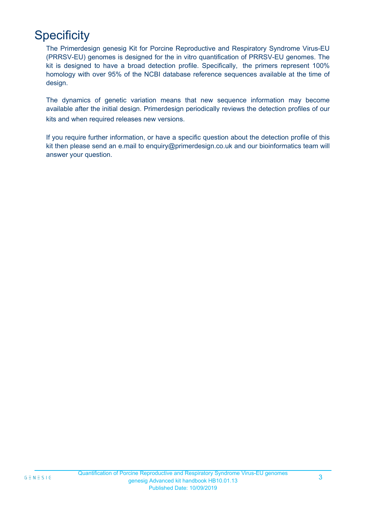# **Specificity**

The Primerdesign genesig Kit for Porcine Reproductive and Respiratory Syndrome Virus-EU (PRRSV-EU) genomes is designed for the in vitro quantification of PRRSV-EU genomes. The kit is designed to have a broad detection profile. Specifically, the primers represent 100% homology with over 95% of the NCBI database reference sequences available at the time of design.

kits and when required releases new versions. The dynamics of genetic variation means that new sequence information may become available after the initial design. Primerdesign periodically reviews the detection profiles of our

If you require further information, or have a specific question about the detection profile of this kit then please send an e.mail to enquiry@primerdesign.co.uk and our bioinformatics team will answer your question.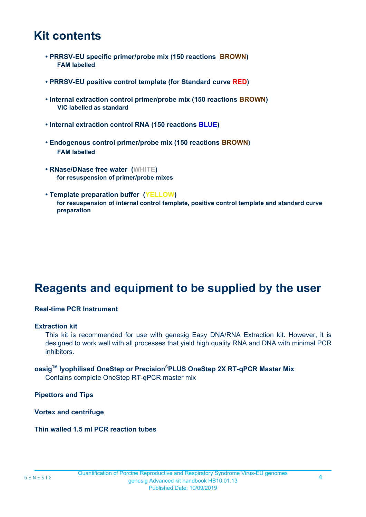### **Kit contents**

- **PRRSV-EU specific primer/probe mix (150 reactions BROWN) FAM labelled**
- **PRRSV-EU positive control template (for Standard curve RED)**
- **Internal extraction control primer/probe mix (150 reactions BROWN) VIC labelled as standard**
- **Internal extraction control RNA (150 reactions BLUE)**
- **Endogenous control primer/probe mix (150 reactions BROWN) FAM labelled**
- **RNase/DNase free water (WHITE) for resuspension of primer/probe mixes**
- **Template preparation buffer (YELLOW) for resuspension of internal control template, positive control template and standard curve preparation**

## **Reagents and equipment to be supplied by the user**

#### **Real-time PCR Instrument**

#### **Extraction kit**

This kit is recommended for use with genesig Easy DNA/RNA Extraction kit. However, it is designed to work well with all processes that yield high quality RNA and DNA with minimal PCR inhibitors.

### **oasigTM lyophilised OneStep or Precision**®**PLUS OneStep 2X RT-qPCR Master Mix**

Contains complete OneStep RT-qPCR master mix

**Pipettors and Tips**

**Vortex and centrifuge**

**Thin walled 1.5 ml PCR reaction tubes**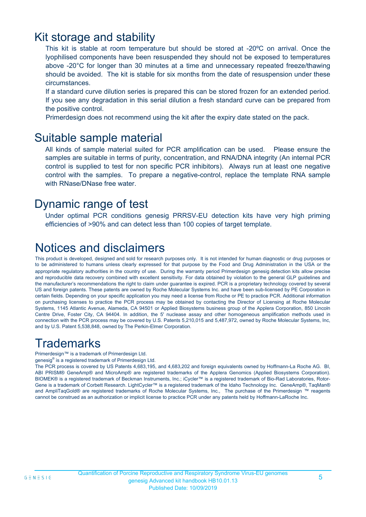### Kit storage and stability

This kit is stable at room temperature but should be stored at -20ºC on arrival. Once the lyophilised components have been resuspended they should not be exposed to temperatures above -20°C for longer than 30 minutes at a time and unnecessary repeated freeze/thawing should be avoided. The kit is stable for six months from the date of resuspension under these circumstances.

If a standard curve dilution series is prepared this can be stored frozen for an extended period. If you see any degradation in this serial dilution a fresh standard curve can be prepared from the positive control.

Primerdesign does not recommend using the kit after the expiry date stated on the pack.

### Suitable sample material

All kinds of sample material suited for PCR amplification can be used. Please ensure the samples are suitable in terms of purity, concentration, and RNA/DNA integrity (An internal PCR control is supplied to test for non specific PCR inhibitors). Always run at least one negative control with the samples. To prepare a negative-control, replace the template RNA sample with RNase/DNase free water.

### Dynamic range of test

Under optimal PCR conditions genesig PRRSV-EU detection kits have very high priming efficiencies of >90% and can detect less than 100 copies of target template.

# Notices and disclaimers

This product is developed, designed and sold for research purposes only. It is not intended for human diagnostic or drug purposes or to be administered to humans unless clearly expressed for that purpose by the Food and Drug Administration in the USA or the appropriate regulatory authorities in the country of use. During the warranty period Primerdesign genesig detection kits allow precise and reproducible data recovery combined with excellent sensitivity. For data obtained by violation to the general GLP guidelines and the manufacturer's recommendations the right to claim under guarantee is expired. PCR is a proprietary technology covered by several US and foreign patents. These patents are owned by Roche Molecular Systems Inc. and have been sub-licensed by PE Corporation in certain fields. Depending on your specific application you may need a license from Roche or PE to practice PCR. Additional information on purchasing licenses to practice the PCR process may be obtained by contacting the Director of Licensing at Roche Molecular Systems, 1145 Atlantic Avenue, Alameda, CA 94501 or Applied Biosystems business group of the Applera Corporation, 850 Lincoln Centre Drive, Foster City, CA 94404. In addition, the 5' nuclease assay and other homogeneous amplification methods used in connection with the PCR process may be covered by U.S. Patents 5,210,015 and 5,487,972, owned by Roche Molecular Systems, Inc, and by U.S. Patent 5,538,848, owned by The Perkin-Elmer Corporation.

## **Trademarks**

Primerdesign™ is a trademark of Primerdesign Ltd.

genesig® is a registered trademark of Primerdesign Ltd.

The PCR process is covered by US Patents 4,683,195, and 4,683,202 and foreign equivalents owned by Hoffmann-La Roche AG. BI, ABI PRISM® GeneAmp® and MicroAmp® are registered trademarks of the Applera Genomics (Applied Biosystems Corporation). BIOMEK® is a registered trademark of Beckman Instruments, Inc.; iCycler™ is a registered trademark of Bio-Rad Laboratories, Rotor-Gene is a trademark of Corbett Research. LightCycler™ is a registered trademark of the Idaho Technology Inc. GeneAmp®, TaqMan® and AmpliTaqGold® are registered trademarks of Roche Molecular Systems, Inc., The purchase of the Primerdesign ™ reagents cannot be construed as an authorization or implicit license to practice PCR under any patents held by Hoffmann-LaRoche Inc.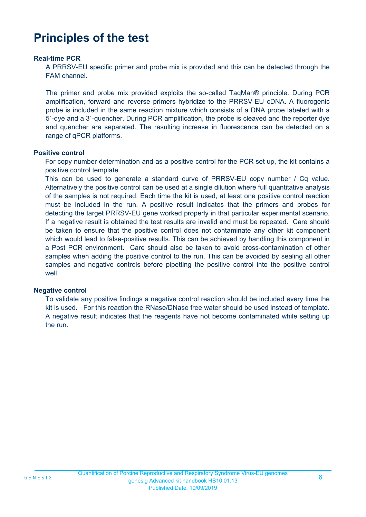## **Principles of the test**

#### **Real-time PCR**

A PRRSV-EU specific primer and probe mix is provided and this can be detected through the FAM channel.

The primer and probe mix provided exploits the so-called TaqMan® principle. During PCR amplification, forward and reverse primers hybridize to the PRRSV-EU cDNA. A fluorogenic probe is included in the same reaction mixture which consists of a DNA probe labeled with a 5`-dye and a 3`-quencher. During PCR amplification, the probe is cleaved and the reporter dye and quencher are separated. The resulting increase in fluorescence can be detected on a range of qPCR platforms.

#### **Positive control**

For copy number determination and as a positive control for the PCR set up, the kit contains a positive control template.

This can be used to generate a standard curve of PRRSV-EU copy number / Cq value. Alternatively the positive control can be used at a single dilution where full quantitative analysis of the samples is not required. Each time the kit is used, at least one positive control reaction must be included in the run. A positive result indicates that the primers and probes for detecting the target PRRSV-EU gene worked properly in that particular experimental scenario. If a negative result is obtained the test results are invalid and must be repeated. Care should be taken to ensure that the positive control does not contaminate any other kit component which would lead to false-positive results. This can be achieved by handling this component in a Post PCR environment. Care should also be taken to avoid cross-contamination of other samples when adding the positive control to the run. This can be avoided by sealing all other samples and negative controls before pipetting the positive control into the positive control well

#### **Negative control**

To validate any positive findings a negative control reaction should be included every time the kit is used. For this reaction the RNase/DNase free water should be used instead of template. A negative result indicates that the reagents have not become contaminated while setting up the run.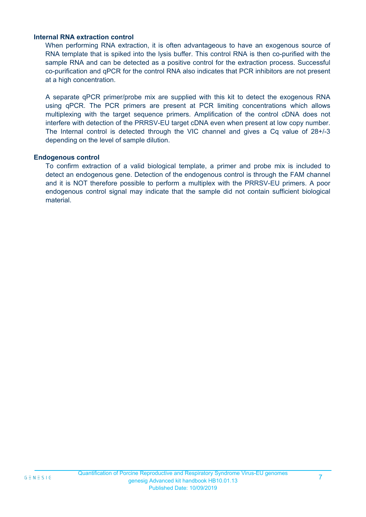#### **Internal RNA extraction control**

When performing RNA extraction, it is often advantageous to have an exogenous source of RNA template that is spiked into the lysis buffer. This control RNA is then co-purified with the sample RNA and can be detected as a positive control for the extraction process. Successful co-purification and qPCR for the control RNA also indicates that PCR inhibitors are not present at a high concentration.

A separate qPCR primer/probe mix are supplied with this kit to detect the exogenous RNA using qPCR. The PCR primers are present at PCR limiting concentrations which allows multiplexing with the target sequence primers. Amplification of the control cDNA does not interfere with detection of the PRRSV-EU target cDNA even when present at low copy number. The Internal control is detected through the VIC channel and gives a Cq value of 28+/-3 depending on the level of sample dilution.

#### **Endogenous control**

To confirm extraction of a valid biological template, a primer and probe mix is included to detect an endogenous gene. Detection of the endogenous control is through the FAM channel and it is NOT therefore possible to perform a multiplex with the PRRSV-EU primers. A poor endogenous control signal may indicate that the sample did not contain sufficient biological material.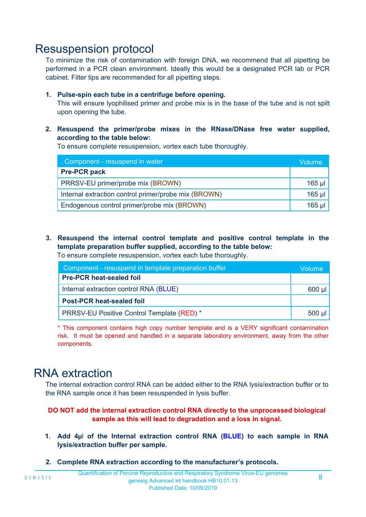### Resuspension protocol

To minimize the risk of contamination with foreign DNA, we recommend that all pipetting be performed in a PCR clean environment. Ideally this would be a designated PCR lab or PCR cabinet. Filter tips are recommended for all pipetting steps.

#### **1. Pulse-spin each tube in a centrifuge before opening.**

This will ensure lyophilised primer and probe mix is in the base of the tube and is not spilt upon opening the tube.

**2. Resuspend the primer/probe mixes in the RNase/DNase free water supplied, according to the table below:**

To ensure complete resuspension, vortex each tube thoroughly.

| Component - resuspend in water                       |          |  |
|------------------------------------------------------|----------|--|
| <b>Pre-PCR pack</b>                                  |          |  |
| PRRSV-EU primer/probe mix (BROWN)                    | $165$ µl |  |
| Internal extraction control primer/probe mix (BROWN) | $165$ µl |  |
| Endogenous control primer/probe mix (BROWN)          |          |  |

**3. Resuspend the internal control template and positive control template in the template preparation buffer supplied, according to the table below:** To ensure complete resuspension, vortex each tube thoroughly.

| Component - resuspend in template preparation buffer |  |  |  |
|------------------------------------------------------|--|--|--|
| <b>Pre-PCR heat-sealed foil</b>                      |  |  |  |
| Internal extraction control RNA (BLUE)               |  |  |  |
| <b>Post-PCR heat-sealed foil</b>                     |  |  |  |
| PRRSV-EU Positive Control Template (RED) *           |  |  |  |

\* This component contains high copy number template and is a VERY significant contamination risk. It must be opened and handled in a separate laboratory environment, away from the other components.

### RNA extraction

The internal extraction control RNA can be added either to the RNA lysis/extraction buffer or to the RNA sample once it has been resuspended in lysis buffer.

#### **DO NOT add the internal extraction control RNA directly to the unprocessed biological sample as this will lead to degradation and a loss in signal.**

- **1. Add 4µ**l **of the Internal extraction control RNA (BLUE) to each sample in RNA lysis/extraction buffer per sample.**
- **2. Complete RNA extraction according to the manufacturer's protocols.**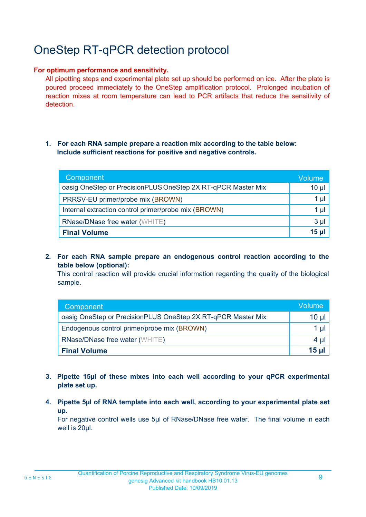# OneStep RT-qPCR detection protocol

#### **For optimum performance and sensitivity.**

All pipetting steps and experimental plate set up should be performed on ice. After the plate is poured proceed immediately to the OneStep amplification protocol. Prolonged incubation of reaction mixes at room temperature can lead to PCR artifacts that reduce the sensitivity of detection.

#### **1. For each RNA sample prepare a reaction mix according to the table below: Include sufficient reactions for positive and negative controls.**

| Component                                                    | <b>Volume</b> |
|--------------------------------------------------------------|---------------|
| oasig OneStep or PrecisionPLUS OneStep 2X RT-qPCR Master Mix | $10 \mu$      |
| PRRSV-EU primer/probe mix (BROWN)                            | 1 µl          |
| Internal extraction control primer/probe mix (BROWN)         | 1 µl          |
| <b>RNase/DNase free water (WHITE)</b>                        | $3 \mu$       |
| <b>Final Volume</b>                                          | $15$ µ        |

**2. For each RNA sample prepare an endogenous control reaction according to the table below (optional):**

This control reaction will provide crucial information regarding the quality of the biological sample.

| Component                                                    | <b>Volume</b> |
|--------------------------------------------------------------|---------------|
| oasig OneStep or PrecisionPLUS OneStep 2X RT-qPCR Master Mix | 10 µl         |
| Endogenous control primer/probe mix (BROWN)                  | 1 µI          |
| <b>RNase/DNase free water (WHITE)</b>                        |               |
| <b>Final Volume</b>                                          | 15 ul         |

- **3. Pipette 15µl of these mixes into each well according to your qPCR experimental plate set up.**
- **4. Pipette 5µl of RNA template into each well, according to your experimental plate set up.**

For negative control wells use 5µl of RNase/DNase free water. The final volume in each well is 20ul.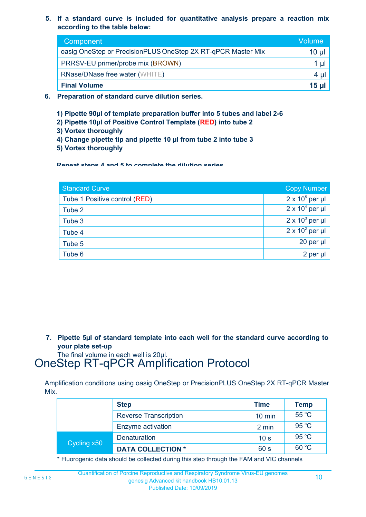**5. If a standard curve is included for quantitative analysis prepare a reaction mix according to the table below:**

| Component                                                    | Volume       |  |
|--------------------------------------------------------------|--------------|--|
| oasig OneStep or PrecisionPLUS OneStep 2X RT-qPCR Master Mix |              |  |
| PRRSV-EU primer/probe mix (BROWN)                            |              |  |
| <b>RNase/DNase free water (WHITE)</b>                        | 4 ul         |  |
| <b>Final Volume</b>                                          | <b>15 ul</b> |  |

- **6. Preparation of standard curve dilution series.**
	- **1) Pipette 90µl of template preparation buffer into 5 tubes and label 2-6**
	- **2) Pipette 10µl of Positive Control Template (RED) into tube 2**
	- **3) Vortex thoroughly**
	- **4) Change pipette tip and pipette 10 µl from tube 2 into tube 3**
	- **5) Vortex thoroughly**

**Repeat steps 4 and 5 to complete the dilution series**

| <b>Standard Curve</b>         | <b>Copy Number</b>     |
|-------------------------------|------------------------|
| Tube 1 Positive control (RED) | $2 \times 10^5$ per µl |
| Tube 2                        | $2 \times 10^4$ per µl |
| Tube 3                        | $2 \times 10^3$ per µl |
| Tube 4                        | $2 \times 10^2$ per µl |
| Tube 5                        | 20 per µl              |
| Tube 6                        | 2 per µl               |

**7. Pipette 5µl of standard template into each well for the standard curve according to your plate set-up**

The final volume in each well is 20µl.

## OneStep RT-qPCR Amplification Protocol

Amplification conditions using oasig OneStep or PrecisionPLUS OneStep 2X RT-qPCR Master Mix.

|             | <b>Step</b>                  | <b>Time</b>      | <b>Temp</b>    |
|-------------|------------------------------|------------------|----------------|
|             | <b>Reverse Transcription</b> | $10 \text{ min}$ | $55^{\circ}$ C |
|             | Enzyme activation            | 2 min            | 95 °C          |
| Cycling x50 | Denaturation                 | 10 <sub>s</sub>  | 95 °C          |
|             | <b>DATA COLLECTION *</b>     | 60 s             | 60 °C          |

\* Fluorogenic data should be collected during this step through the FAM and VIC channels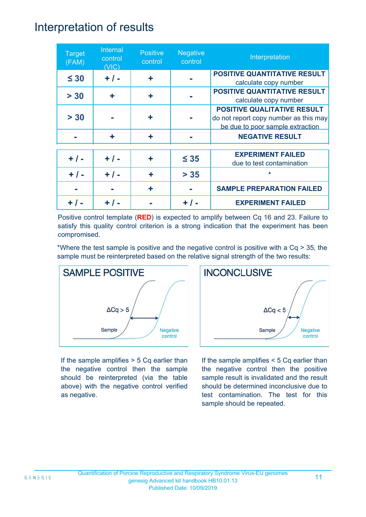### Interpretation of results

| <b>Target</b><br>(FAM) | Internal<br>control<br>(VIC) | <b>Positive</b><br>control | <b>Negative</b><br>control | Interpretation                                                                                                  |
|------------------------|------------------------------|----------------------------|----------------------------|-----------------------------------------------------------------------------------------------------------------|
| $\leq 30$              | $+ / -$                      | ٠                          |                            | <b>POSITIVE QUANTITATIVE RESULT</b><br>calculate copy number                                                    |
| > 30                   | ÷                            | ÷                          |                            | <b>POSITIVE QUANTITATIVE RESULT</b><br>calculate copy number                                                    |
| > 30                   |                              | ٠                          |                            | <b>POSITIVE QUALITATIVE RESULT</b><br>do not report copy number as this may<br>be due to poor sample extraction |
|                        | ÷                            | ÷                          |                            | <b>NEGATIVE RESULT</b>                                                                                          |
| $+ / -$                | $+ / -$                      | ÷                          | $\leq 35$                  | <b>EXPERIMENT FAILED</b><br>due to test contamination                                                           |
| $+ 1 -$                | $+ 1 -$                      | ÷                          | $> 35$                     | $\star$                                                                                                         |
|                        |                              | ÷                          |                            | <b>SAMPLE PREPARATION FAILED</b>                                                                                |
|                        |                              |                            | + / -                      | <b>EXPERIMENT FAILED</b>                                                                                        |

Positive control template (**RED**) is expected to amplify between Cq 16 and 23. Failure to satisfy this quality control criterion is a strong indication that the experiment has been compromised.

\*Where the test sample is positive and the negative control is positive with a Cq > 35, the sample must be reinterpreted based on the relative signal strength of the two results:



If the sample amplifies > 5 Cq earlier than the negative control then the sample should be reinterpreted (via the table above) with the negative control verified as negative.



If the sample amplifies < 5 Cq earlier than the negative control then the positive sample result is invalidated and the result should be determined inconclusive due to test contamination. The test for this sample should be repeated.